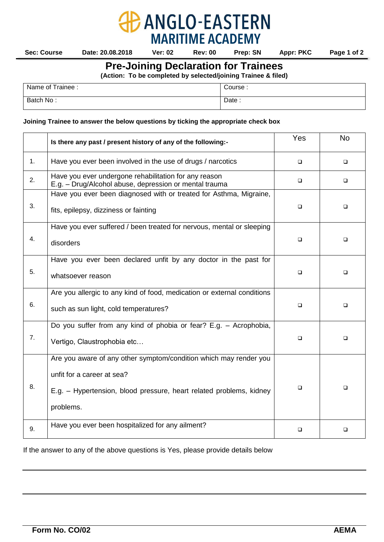

**ANGLO-EASTERN** 

## **Joining Trainee to answer the below questions by ticking the appropriate check box**

|    | Is there any past / present history of any of the following:-                                                                                                                       | Yes    | <b>No</b> |
|----|-------------------------------------------------------------------------------------------------------------------------------------------------------------------------------------|--------|-----------|
| 1. | Have you ever been involved in the use of drugs / narcotics                                                                                                                         | $\Box$ | ▫         |
| 2. | Have you ever undergone rehabilitation for any reason<br>E.g. - Drug/Alcohol abuse, depression or mental trauma                                                                     | $\Box$ | ❏         |
| 3. | Have you ever been diagnosed with or treated for Asthma, Migraine,<br>fits, epilepsy, dizziness or fainting                                                                         | $\Box$ | ◻         |
| 4. | Have you ever suffered / been treated for nervous, mental or sleeping<br>disorders                                                                                                  | $\Box$ | □         |
| 5. | Have you ever been declared unfit by any doctor in the past for<br>whatsoever reason                                                                                                | $\Box$ | ◻         |
| 6. | Are you allergic to any kind of food, medication or external conditions<br>such as sun light, cold temperatures?                                                                    | $\Box$ | □         |
| 7. | Do you suffer from any kind of phobia or fear? E.g. - Acrophobia,<br>Vertigo, Claustrophobia etc                                                                                    | $\Box$ | □         |
| 8. | Are you aware of any other symptom/condition which may render you<br>unfit for a career at sea?<br>E.g. - Hypertension, blood pressure, heart related problems, kidney<br>problems. | $\Box$ | $\Box$    |
| 9. | Have you ever been hospitalized for any ailment?                                                                                                                                    | □      | □         |

If the answer to any of the above questions is Yes, please provide details below